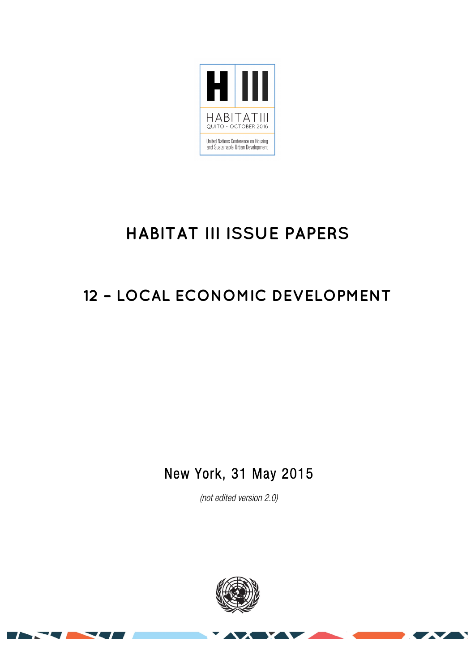

# **HABITAT III ISSUE PAPERS**

## **12 – LOCAL ECONOMIC DEVELOPMENT**

New York, 31 May 2015

(not edited version 2.0)

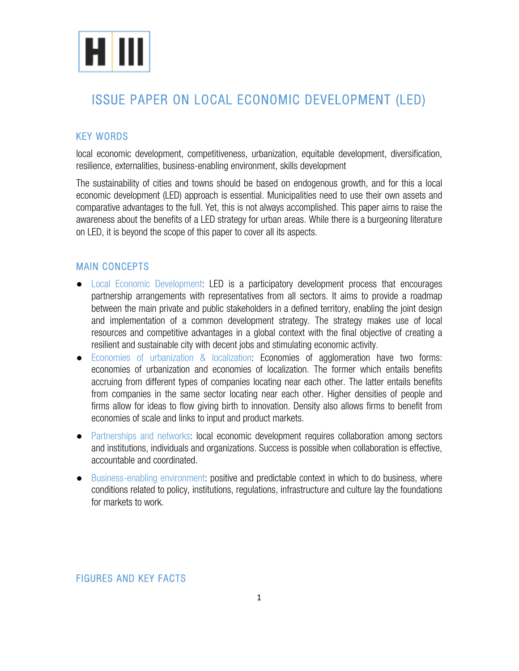

### ISSUE PAPER ON LOCAL ECONOMIC DEVELOPMENT (LED)

#### KEY WORDS

local economic development, competitiveness, urbanization, equitable development, diversification, resilience, externalities, business-enabling environment, skills development

The sustainability of cities and towns should be based on endogenous growth, and for this a local economic development (LED) approach is essential. Municipalities need to use their own assets and comparative advantages to the full. Yet, this is not always accomplished. This paper aims to raise the awareness about the benefits of a LED strategy for urban areas. While there is a burgeoning literature on LED, it is beyond the scope of this paper to cover all its aspects.

#### MAIN CONCEPTS

- Local Economic Development: LED is a participatory development process that encourages partnership arrangements with representatives from all sectors. It aims to provide a roadmap between the main private and public stakeholders in a defined territory, enabling the joint design and implementation of a common development strategy. The strategy makes use of local resources and competitive advantages in a global context with the final objective of creating a resilient and sustainable city with decent jobs and stimulating economic activity.
- Economies of urbanization & localization: Economies of agglomeration have two forms: economies of urbanization and economies of localization. The former which entails benefits accruing from different types of companies locating near each other. The latter entails benefits from companies in the same sector locating near each other. Higher densities of people and firms allow for ideas to flow giving birth to innovation. Density also allows firms to benefit from economies of scale and links to input and product markets.
- Partnerships and networks: local economic development requires collaboration among sectors and institutions, individuals and organizations. Success is possible when collaboration is effective, accountable and coordinated.
- Business-enabling environment: positive and predictable context in which to do business, where conditions related to policy, institutions, regulations, infrastructure and culture lay the foundations for markets to work.

#### FIGURES AND KEY FACTS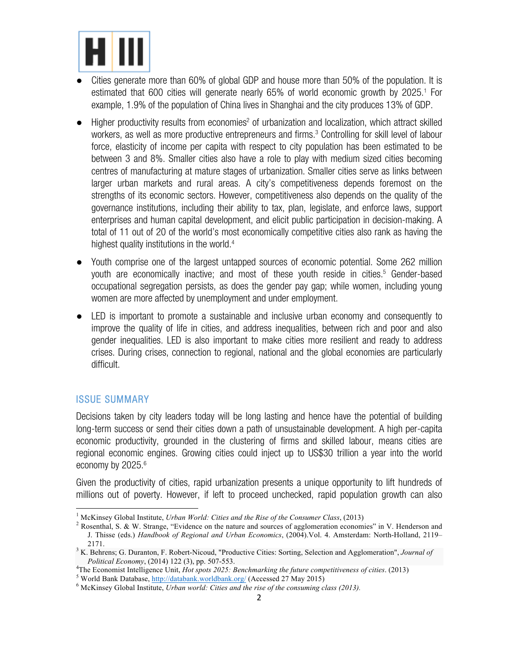

- Cities generate more than 60% of global GDP and house more than 50% of the population. It is estimated that 600 cities will generate nearly 65% of world economic growth by 2025.<sup>1</sup> For example, 1.9% of the population of China lives in Shanghai and the city produces 13% of GDP.
- Higher productivity results from economies<sup>2</sup> of urbanization and localization, which attract skilled workers, as well as more productive entrepreneurs and firms.<sup>3</sup> Controlling for skill level of labour force, elasticity of income per capita with respect to city population has been estimated to be between 3 and 8%. Smaller cities also have a role to play with medium sized cities becoming centres of manufacturing at mature stages of urbanization. Smaller cities serve as links between larger urban markets and rural areas. A city's competitiveness depends foremost on the strengths of its economic sectors. However, competitiveness also depends on the quality of the governance institutions, including their ability to tax, plan, legislate, and enforce laws, support enterprises and human capital development, and elicit public participation in decision-making. A total of 11 out of 20 of the world's most economically competitive cities also rank as having the highest quality institutions in the world.<sup>4</sup>
- Youth comprise one of the largest untapped sources of economic potential. Some 262 million youth are economically inactive; and most of these youth reside in cities.<sup>5</sup> Gender-based occupational segregation persists, as does the gender pay gap; while women, including young women are more affected by unemployment and under employment.
- LED is important to promote a sustainable and inclusive urban economy and consequently to improve the quality of life in cities, and address inequalities, between rich and poor and also gender inequalities. LED is also important to make cities more resilient and ready to address crises. During crises, connection to regional, national and the global economies are particularly difficult.

#### ISSUE SUMMARY

<u> 1989 - Jan Samuel Barbara, político establecido de la provincia de la provincia de la provincia de la provinci</u>

Decisions taken by city leaders today will be long lasting and hence have the potential of building long-term success or send their cities down a path of unsustainable development. A high per-capita economic productivity, grounded in the clustering of firms and skilled labour, means cities are regional economic engines. Growing cities could inject up to US\$30 trillion a year into the world economy by 2025.<sup>6</sup>

Given the productivity of cities, rapid urbanization presents a unique opportunity to lift hundreds of millions out of poverty. However, if left to proceed unchecked, rapid population growth can also

<sup>&</sup>lt;sup>1</sup> McKinsey Global Institute, *Urban World: Cities and the Rise of the Consumer Class*, (2013)<br><sup>2</sup> Rosenthal, S. & W. Strange, "Evidence on the nature and sources of agglomeration economies" in V. Henderson and J. Thisse (eds.) *Handbook of Regional and Urban Economics*, (2004).Vol. 4. Amsterdam: North-Holland, 2119– 2171. <sup>3</sup> K. Behrens; G. Duranton, F. Robert-Nicoud, "Productive Cities: Sorting, Selection and Agglomeration", *Journal of* 

*Political Economy*, (2014) 122 (3), pp. 507-553. <sup>4</sup>

<sup>&</sup>lt;sup>4</sup>The Economist Intelligence Unit, *Hot spots 2025: Benchmarking the future competitiveness of cities.* (2013)<br><sup>5</sup> World Bank Database, <u>http://databank.worldbank.org</u>/ (Accessed 27 May 2015)<br><sup>6</sup> McKinsey Global Institute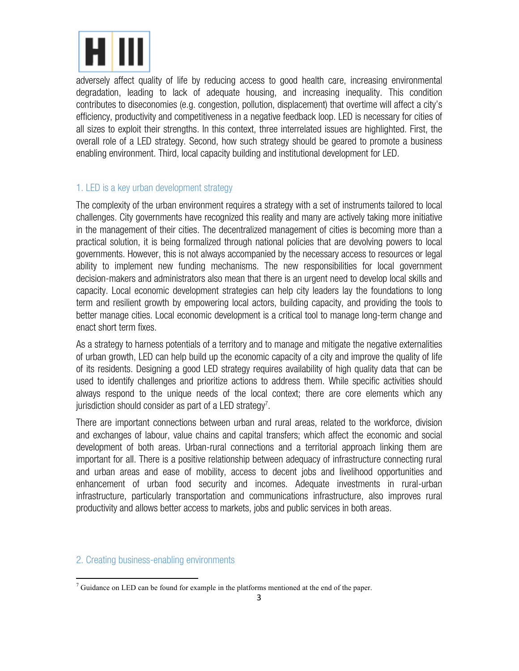

adversely affect quality of life by reducing access to good health care, increasing environmental degradation, leading to lack of adequate housing, and increasing inequality. This condition contributes to diseconomies (e.g. congestion, pollution, displacement) that overtime will affect a city's efficiency, productivity and competitiveness in a negative feedback loop. LED is necessary for cities of all sizes to exploit their strengths. In this context, three interrelated issues are highlighted. First, the overall role of a LED strategy. Second, how such strategy should be geared to promote a business enabling environment. Third, local capacity building and institutional development for LED.

#### 1. LED is a key urban development strategy

The complexity of the urban environment requires a strategy with a set of instruments tailored to local challenges. City governments have recognized this reality and many are actively taking more initiative in the management of their cities. The decentralized management of cities is becoming more than a practical solution, it is being formalized through national policies that are devolving powers to local governments. However, this is not always accompanied by the necessary access to resources or legal ability to implement new funding mechanisms. The new responsibilities for local government decision-makers and administrators also mean that there is an urgent need to develop local skills and capacity. Local economic development strategies can help city leaders lay the foundations to long term and resilient growth by empowering local actors, building capacity, and providing the tools to better manage cities. Local economic development is a critical tool to manage long-term change and enact short term fixes.

As a strategy to harness potentials of a territory and to manage and mitigate the negative externalities of urban growth, LED can help build up the economic capacity of a city and improve the quality of life of its residents. Designing a good LED strategy requires availability of high quality data that can be used to identify challenges and prioritize actions to address them. While specific activities should always respond to the unique needs of the local context; there are core elements which any jurisdiction should consider as part of a LED strategy $^7.$ 

There are important connections between urban and rural areas, related to the workforce, division and exchanges of labour, value chains and capital transfers; which affect the economic and social development of both areas. Urban-rural connections and a territorial approach linking them are important for all. There is a positive relationship between adequacy of infrastructure connecting rural and urban areas and ease of mobility, access to decent jobs and livelihood opportunities and enhancement of urban food security and incomes. Adequate investments in rural-urban infrastructure, particularly transportation and communications infrastructure, also improves rural productivity and allows better access to markets, jobs and public services in both areas.

#### 2. Creating business-enabling environments

<u> 1989 - Jan Samuel Barbara, político establecido de la provincia de la provincia de la provincia de la provinci</u>

 $<sup>7</sup>$  Guidance on LED can be found for example in the platforms mentioned at the end of the paper.</sup>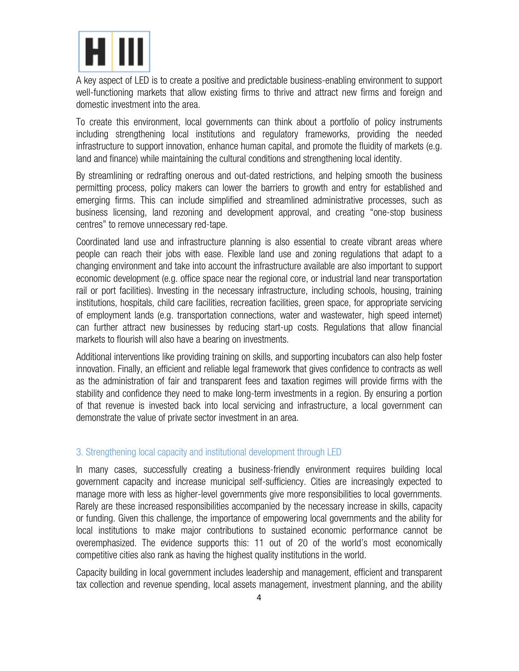

A key aspect of LED is to create a positive and predictable business-enabling environment to support well-functioning markets that allow existing firms to thrive and attract new firms and foreign and domestic investment into the area.

To create this environment, local governments can think about a portfolio of policy instruments including strengthening local institutions and regulatory frameworks, providing the needed infrastructure to support innovation, enhance human capital, and promote the fluidity of markets (e.g. land and finance) while maintaining the cultural conditions and strengthening local identity.

By streamlining or redrafting onerous and out-dated restrictions, and helping smooth the business permitting process, policy makers can lower the barriers to growth and entry for established and emerging firms. This can include simplified and streamlined administrative processes, such as business licensing, land rezoning and development approval, and creating "one-stop business centres" to remove unnecessary red-tape.

Coordinated land use and infrastructure planning is also essential to create vibrant areas where people can reach their jobs with ease. Flexible land use and zoning regulations that adapt to a changing environment and take into account the infrastructure available are also important to support economic development (e.g. office space near the regional core, or industrial land near transportation rail or port facilities). Investing in the necessary infrastructure, including schools, housing, training institutions, hospitals, child care facilities, recreation facilities, green space, for appropriate servicing of employment lands (e.g. transportation connections, water and wastewater, high speed internet) can further attract new businesses by reducing start-up costs. Regulations that allow financial markets to flourish will also have a bearing on investments.

Additional interventions like providing training on skills, and supporting incubators can also help foster innovation. Finally, an efficient and reliable legal framework that gives confidence to contracts as well as the administration of fair and transparent fees and taxation regimes will provide firms with the stability and confidence they need to make long-term investments in a region. By ensuring a portion of that revenue is invested back into local servicing and infrastructure, a local government can demonstrate the value of private sector investment in an area.

#### 3. Strengthening local capacity and institutional development through LED

In many cases, successfully creating a business-friendly environment requires building local government capacity and increase municipal self-sufficiency. Cities are increasingly expected to manage more with less as higher-level governments give more responsibilities to local governments. Rarely are these increased responsibilities accompanied by the necessary increase in skills, capacity or funding. Given this challenge, the importance of empowering local governments and the ability for local institutions to make major contributions to sustained economic performance cannot be overemphasized. The evidence supports this: 11 out of 20 of the world's most economically competitive cities also rank as having the highest quality institutions in the world.

Capacity building in local government includes leadership and management, efficient and transparent tax collection and revenue spending, local assets management, investment planning, and the ability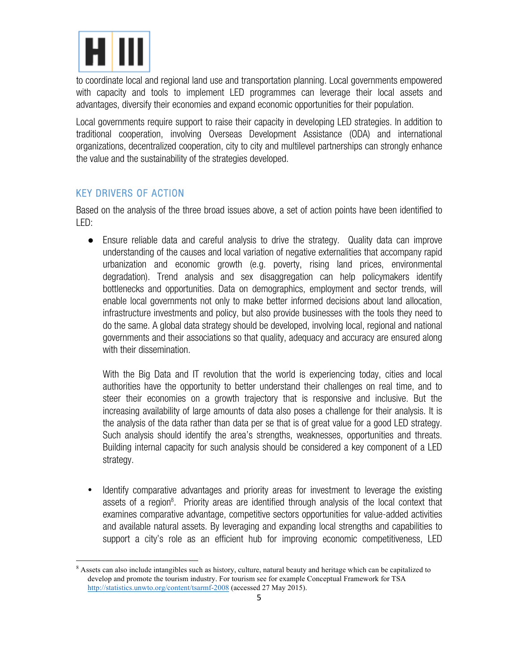

to coordinate local and regional land use and transportation planning. Local governments empowered with capacity and tools to implement LED programmes can leverage their local assets and advantages, diversify their economies and expand economic opportunities for their population.

Local governments require support to raise their capacity in developing LED strategies. In addition to traditional cooperation, involving Overseas Development Assistance (ODA) and international organizations, decentralized cooperation, city to city and multilevel partnerships can strongly enhance the value and the sustainability of the strategies developed.

#### KEY DRIVERS OF ACTION

<u> 1989 - Jan Samuel Barbara, político establecido de la provincia de la provincia de la provincia de la provinci</u>

Based on the analysis of the three broad issues above, a set of action points have been identified to LED:

● Ensure reliable data and careful analysis to drive the strategy. Quality data can improve understanding of the causes and local variation of negative externalities that accompany rapid urbanization and economic growth (e.g. poverty, rising land prices, environmental degradation). Trend analysis and sex disaggregation can help policymakers identify bottlenecks and opportunities. Data on demographics, employment and sector trends, will enable local governments not only to make better informed decisions about land allocation, infrastructure investments and policy, but also provide businesses with the tools they need to do the same. A global data strategy should be developed, involving local, regional and national governments and their associations so that quality, adequacy and accuracy are ensured along with their dissemination.

With the Big Data and IT revolution that the world is experiencing today, cities and local authorities have the opportunity to better understand their challenges on real time, and to steer their economies on a growth trajectory that is responsive and inclusive. But the increasing availability of large amounts of data also poses a challenge for their analysis. It is the analysis of the data rather than data per se that is of great value for a good LED strategy. Such analysis should identify the area's strengths, weaknesses, opportunities and threats. Building internal capacity for such analysis should be considered a key component of a LED strategy.

• Identify comparative advantages and priority areas for investment to leverage the existing assets of a region<sup>8</sup>. Priority areas are identified through analysis of the local context that examines comparative advantage, competitive sectors opportunities for value-added activities and available natural assets. By leveraging and expanding local strengths and capabilities to support a city's role as an efficient hub for improving economic competitiveness, LED

<sup>&</sup>lt;sup>8</sup> Assets can also include intangibles such as history, culture, natural beauty and heritage which can be capitalized to develop and promote the tourism industry. For tourism see for example Conceptual Framework for TSA http://statistics.unwto.org/content/tsarmf-2008 (accessed 27 May 2015).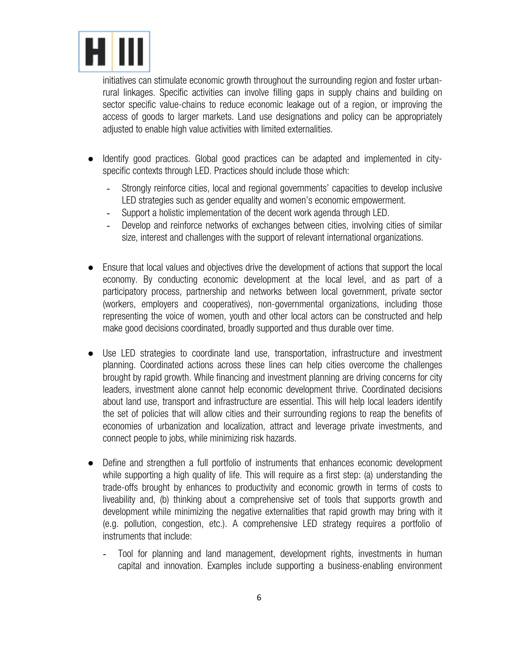

initiatives can stimulate economic growth throughout the surrounding region and foster urbanrural linkages. Specific activities can involve filling gaps in supply chains and building on sector specific value-chains to reduce economic leakage out of a region, or improving the access of goods to larger markets. Land use designations and policy can be appropriately adjusted to enable high value activities with limited externalities.

- ldentify good practices. Global good practices can be adapted and implemented in cityspecific contexts through LED. Practices should include those which:
	- Strongly reinforce cities, local and regional governments' capacities to develop inclusive LED strategies such as gender equality and women's economic empowerment.
	- Support a holistic implementation of the decent work agenda through LED.
	- Develop and reinforce networks of exchanges between cities, involving cities of similar size, interest and challenges with the support of relevant international organizations.
- Ensure that local values and objectives drive the development of actions that support the local economy. By conducting economic development at the local level, and as part of a participatory process, partnership and networks between local government, private sector (workers, employers and cooperatives), non-governmental organizations, including those representing the voice of women, youth and other local actors can be constructed and help make good decisions coordinated, broadly supported and thus durable over time.
- Use LED strategies to coordinate land use, transportation, infrastructure and investment planning. Coordinated actions across these lines can help cities overcome the challenges brought by rapid growth. While financing and investment planning are driving concerns for city leaders, investment alone cannot help economic development thrive. Coordinated decisions about land use, transport and infrastructure are essential. This will help local leaders identify the set of policies that will allow cities and their surrounding regions to reap the benefits of economies of urbanization and localization, attract and leverage private investments, and connect people to jobs, while minimizing risk hazards.
- Define and strengthen a full portfolio of instruments that enhances economic development while supporting a high quality of life. This will require as a first step: (a) understanding the trade-offs brought by enhances to productivity and economic growth in terms of costs to liveability and, (b) thinking about a comprehensive set of tools that supports growth and development while minimizing the negative externalities that rapid growth may bring with it (e.g. pollution, congestion, etc.). A comprehensive LED strategy requires a portfolio of instruments that include:
	- Tool for planning and land management, development rights, investments in human capital and innovation. Examples include supporting a business-enabling environment